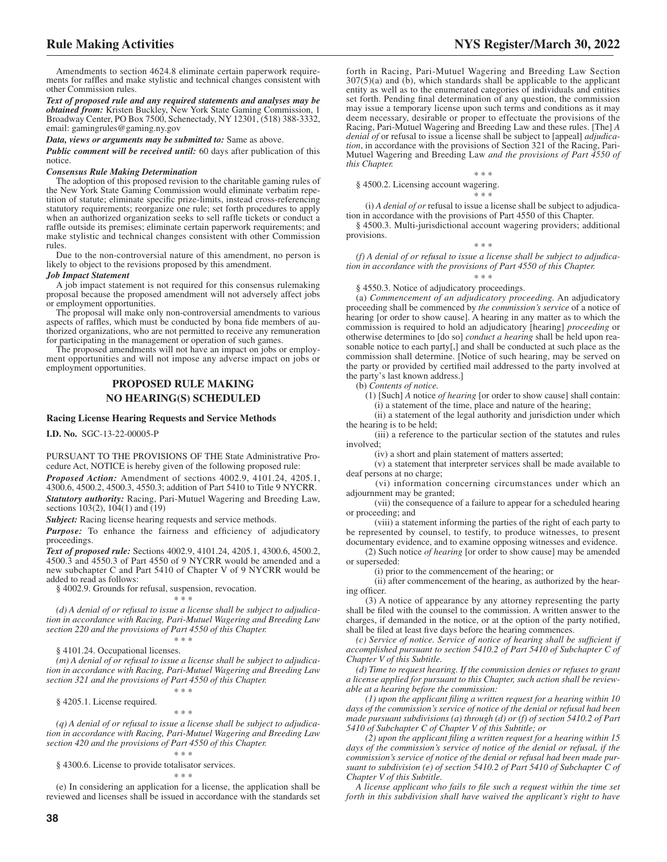Amendments to section 4624.8 eliminate certain paperwork requirements for raffles and make stylistic and technical changes consistent with other Commission rules.

*Text of proposed rule and any required statements and analyses may be obtained from:* Kristen Buckley, New York State Gaming Commission, 1 Broadway Center, PO Box 7500, Schenectady, NY 12301, (518) 388-3332, email: gamingrules@gaming.ny.gov

*Data, views or arguments may be submitted to:* Same as above.

*Public comment will be received until:* 60 days after publication of this notice.

## *Consensus Rule Making Determination*

The adoption of this proposed revision to the charitable gaming rules of the New York State Gaming Commission would eliminate verbatim repetition of statute; eliminate specific prize-limits, instead cross-referencing statutory requirements; reorganize one rule; set forth procedures to apply when an authorized organization seeks to sell raffle tickets or conduct a raffle outside its premises; eliminate certain paperwork requirements; and make stylistic and technical changes consistent with other Commission rules.

Due to the non-controversial nature of this amendment, no person is likely to object to the revisions proposed by this amendment.

#### *Job Impact Statement*

A job impact statement is not required for this consensus rulemaking proposal because the proposed amendment will not adversely affect jobs or employment opportunities.

The proposal will make only non-controversial amendments to various aspects of raffles, which must be conducted by bona fide members of authorized organizations, who are not permitted to receive any remuneration for participating in the management or operation of such games.

The proposed amendments will not have an impact on jobs or employment opportunities and will not impose any adverse impact on jobs or employment opportunities.

# **PROPOSED RULE MAKING NO HEARING(S) SCHEDULED**

## **Racing License Hearing Requests and Service Methods**

**I.D. No.** SGC-13-22-00005-P

PURSUANT TO THE PROVISIONS OF THE State Administrative Procedure Act, NOTICE is hereby given of the following proposed rule:

*Proposed Action:* Amendment of sections 4002.9, 4101.24, 4205.1, 4300.6, 4500.2, 4500.3, 4550.3; addition of Part 5410 to Title 9 NYCRR.

*Statutory authority:* Racing, Pari-Mutuel Wagering and Breeding Law, sections 103(2), 104(1) and (19)

*Subject:* Racing license hearing requests and service methods.

*Purpose:* To enhance the fairness and efficiency of adjudicatory proceedings.

*Text of proposed rule:* Sections 4002.9, 4101.24, 4205.1, 4300.6, 4500.2, 4500.3 and 4550.3 of Part 4550 of 9 NYCRR would be amended and a new subchapter C and Part 5410 of Chapter V of 9 NYCRR would be added to read as follows:

§ 4002.9. Grounds for refusal, suspension, revocation.

## \* \* \*

*(d) A denial of or refusal to issue a license shall be subject to adjudication in accordance with Racing, Pari-Mutuel Wagering and Breeding Law section 220 and the provisions of Part 4550 of this Chapter.* \* \* \*

§ 4101.24. Occupational licenses.

*(m) A denial of or refusal to issue a license shall be subject to adjudication in accordance with Racing, Pari-Mutuel Wagering and Breeding Law section 321 and the provisions of Part 4550 of this Chapter.* \* \* \*

§ 4205.1. License required.

\* \* \* *(q) A denial of or refusal to issue a license shall be subject to adjudication in accordance with Racing, Pari-Mutuel Wagering and Breeding Law section 420 and the provisions of Part 4550 of this Chapter.* \* \* \*

§ 4300.6. License to provide totalisator services.

\* \* \* (e) In considering an application for a license, the application shall be reviewed and licenses shall be issued in accordance with the standards set forth in Racing, Pari-Mutuel Wagering and Breeding Law Section  $307(5)$ (a) and  $(b)$ , which standards shall be applicable to the applicant entity as well as to the enumerated categories of individuals and entities set forth. Pending final determination of any question, the commission may issue a temporary license upon such terms and conditions as it may deem necessary, desirable or proper to effectuate the provisions of the Racing, Pari-Mutuel Wagering and Breeding Law and these rules. [The] *A denial of* or refusal to issue a license shall be subject to [appeal] *adjudication*, in accordance with the provisions of Section 321 of the Racing, Pari-Mutuel Wagering and Breeding Law *and the provisions of Part 4550 of this Chapter.*

§ 4500.2. Licensing account wagering.

\* \* \*

\* \* \*

(i) *A denial of or* refusal to issue a license shall be subject to adjudication in accordance with the provisions of Part 4550 of this Chapter.

§ 4500.3. Multi-jurisdictional account wagering providers; additional provisions. \* \* \*

*(f) A denial of or refusal to issue a license shall be subject to adjudication in accordance with the provisions of Part 4550 of this Chapter.*

\* \* \*

§ 4550.3. Notice of adjudicatory proceedings.

(a) *Commencement of an adjudicatory proceeding.* An adjudicatory proceeding shall be commenced by *the commission's service* of a notice of hearing [or order to show cause]. A hearing in any matter as to which the commission is required to hold an adjudicatory [hearing] *proceeding* or otherwise determines to [do so] *conduct a hearing* shall be held upon reasonable notice to each party[,] and shall be conducted at such place as the commission shall determine. [Notice of such hearing, may be served on the party or provided by certified mail addressed to the party involved at the party's last known address.]

(b) *Contents of notice.*

(1) [Such] *A* notice *of hearing* [or order to show cause] shall contain: (i) a statement of the time, place and nature of the hearing;

(ii) a statement of the legal authority and jurisdiction under which the hearing is to be held;

(iii) a reference to the particular section of the statutes and rules involved;

(iv) a short and plain statement of matters asserted;

(v) a statement that interpreter services shall be made available to deaf persons at no charge;

(vi) information concerning circumstances under which an adjournment may be granted;

(vii) the consequence of a failure to appear for a scheduled hearing or proceeding; and

(viii) a statement informing the parties of the right of each party to be represented by counsel, to testify, to produce witnesses, to present documentary evidence, and to examine opposing witnesses and evidence.

(2) Such notice *of hearing* [or order to show cause] may be amended or superseded:

(i) prior to the commencement of the hearing; or

(ii) after commencement of the hearing, as authorized by the hearing officer.

(3) A notice of appearance by any attorney representing the party shall be filed with the counsel to the commission. A written answer to the charges, if demanded in the notice, or at the option of the party notified, shall be filed at least five days before the hearing commences.

*(c) Service of notice. Service of notice of hearing shall be sufficient if accomplished pursuant to section 5410.2 of Part 5410 of Subchapter C of Chapter V of this Subtitle.*

*(d) Time to request hearing. If the commission denies or refuses to grant a license applied for pursuant to this Chapter, such action shall be reviewable at a hearing before the commission:*

*(1) upon the applicant filing a written request for a hearing within 10 days of the commission's service of notice of the denial or refusal had been made pursuant subdivisions (a) through (d) or (f) of section 5410.2 of Part 5410 of Subchapter C of Chapter V of this Subtitle; or*

*(2) upon the applicant filing a written request for a hearing within 15 days of the commission's service of notice of the denial or refusal, if the commission's service of notice of the denial or refusal had been made pursuant to subdivision (e) of section 5410.2 of Part 5410 of Subchapter C of Chapter V of this Subtitle.*

*A license applicant who fails to file such a request within the time set forth in this subdivision shall have waived the applicant's right to have*